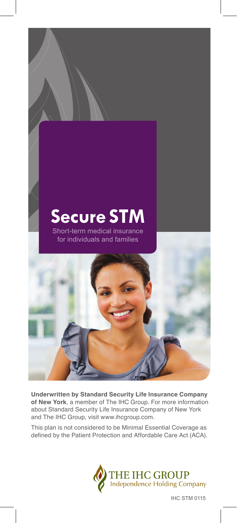

**Underwritten by Standard Security Life Insurance Company of New York**, a member of The IHC Group. For more information about Standard Security Life Insurance Company of New York and The IHC Group, visit www.ihcgroup.com.

This plan is not considered to be Minimal Essential Coverage as defined by the Patient Protection and Affordable Care Act (ACA).



IHC STM 0115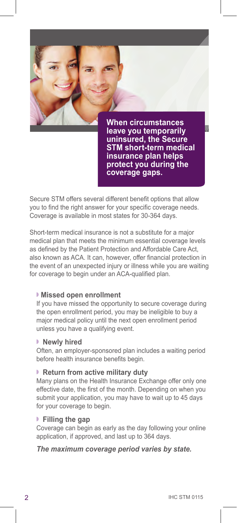

**STM short-term medical insurance plan helps protect you during the coverage gaps.** 

Secure STM offers several different benefit options that allow you to find the right answer for your specific coverage needs. Coverage is available in most states for 30-364 days.

Short-term medical insurance is not a substitute for a major medical plan that meets the minimum essential coverage levels as defined by the Patient Protection and Affordable Care Act, also known as ACA. It can, however, offer financial protection in the event of an unexpected injury or illness while you are waiting for coverage to begin under an ACA-qualified plan.

### **Missed open enrollment**

If you have missed the opportunity to secure coverage during the open enrollment period, you may be ineligible to buy a major medical policy until the next open enrollment period unless you have a qualifying event.

# **Newly hired**

Often, an employer-sponsored plan includes a waiting period before health insurance benefits begin.

### **Return from active military duty**

Many plans on the Health Insurance Exchange offer only one effective date, the first of the month. Depending on when you submit your application, you may have to wait up to 45 days for your coverage to begin.

### **Filling the gap**

Coverage can begin as early as the day following your online application, if approved, and last up to 364 days.

# *The maximum coverage period varies by state.*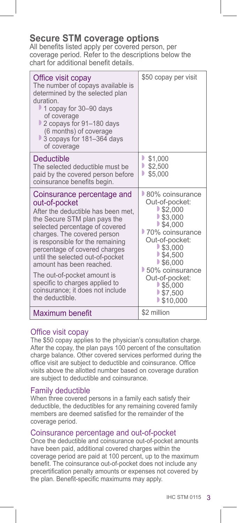# **Secure STM coverage options**

All benefits listed apply per covered person, per coverage period. Refer to the descriptions below the chart for additional benefit details.

| Office visit copay<br>The number of copays available is<br>determined by the selected plan<br>duration.<br>■ 1 copay for 30–90 days<br>of coverage<br>2 copays for 91–180 days<br>(6 months) of coverage<br>3 copays for 181-364 days<br>of coverage                                                                                                                                                                                            | \$50 copay per visit                                                                                                                                                                                                                                                              |
|-------------------------------------------------------------------------------------------------------------------------------------------------------------------------------------------------------------------------------------------------------------------------------------------------------------------------------------------------------------------------------------------------------------------------------------------------|-----------------------------------------------------------------------------------------------------------------------------------------------------------------------------------------------------------------------------------------------------------------------------------|
| Deductible<br>The selected deductible must be<br>paid by the covered person before<br>coinsurance benefits begin.                                                                                                                                                                                                                                                                                                                               | \$1,000<br>\$2,500<br>D<br>\$5,000                                                                                                                                                                                                                                                |
| Coinsurance percentage and<br>out-of-pocket<br>After the deductible has been met,<br>the Secure STM plan pays the<br>selected percentage of covered<br>charges. The covered person<br>is responsible for the remaining<br>percentage of covered charges<br>until the selected out-of-pocket<br>amount has been reached.<br>The out-of-pocket amount is<br>specific to charges applied to<br>coinsurance; it does not include<br>the deductible. | 80% coinsurance<br>Out-of-pocket:<br>$\blacktriangleright$ \$2,000<br>\$3,000<br>$\blacktriangleright$ \$4,000<br>70% coinsurance<br>Out-of-pocket:<br>\$3,000<br>\$4,500<br>\$6,000<br>50% coinsurance<br>Out-of-pocket:<br>\$5,000<br>$\blacktriangleright$ \$7,500<br>\$10,000 |
| Maximum benefit                                                                                                                                                                                                                                                                                                                                                                                                                                 | \$2 million                                                                                                                                                                                                                                                                       |

# Office visit copay

The \$50 copay applies to the physician's consultation charge. After the copay, the plan pays 100 percent of the consultation charge balance. Other covered services performed during the office visit are subject to deductible and coinsurance. Office visits above the allotted number based on coverage duration are subject to deductible and coinsurance.

### Family deductible

When three covered persons in a family each satisfy their deductible, the deductibles for any remaining covered family members are deemed satisfied for the remainder of the coverage period.

# Coinsurance percentage and out-of-pocket

Once the deductible and coinsurance out-of-pocket amounts have been paid, additional covered charges within the coverage period are paid at 100 percent, up to the maximum benefit. The coinsurance out-of-pocket does not include any precertification penalty amounts or expenses not covered by the plan. Benefit-specific maximums may apply.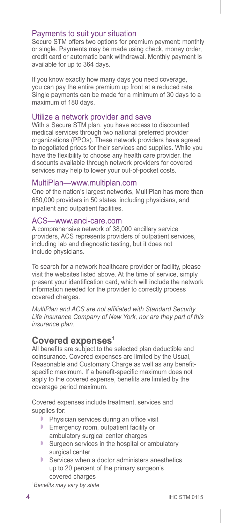# Payments to suit your situation

Secure STM offers two options for premium payment: monthly or single. Payments may be made using check, money order, credit card or automatic bank withdrawal. Monthly payment is available for up to 364 days.

If you know exactly how many days you need coverage, you can pay the entire premium up front at a reduced rate. Single payments can be made for a minimum of 30 days to a maximum of 180 days.

### Utilize a network provider and save

With a Secure STM plan, you have access to discounted medical services through two national preferred provider organizations (PPOs). These network providers have agreed to negotiated prices for their services and supplies. While you have the flexibility to choose any health care provider, the discounts available through network providers for covered services may help to lower your out-of-pocket costs.

### MultiPlan—www.multiplan.com

One of the nation's largest networks, MultiPlan has more than 650,000 providers in 50 states, including physicians, and inpatient and outpatient facilities.

### ACS—www.anci-care.com

A comprehensive network of 38,000 ancillary service providers, ACS represents providers of outpatient services, including lab and diagnostic testing, but it does not include physicians.

To search for a network healthcare provider or facility, please visit the websites listed above. At the time of service, simply present your identification card, which will include the network information needed for the provider to correctly process covered charges.

*MultiPlan and ACS are not affiliated with Standard Security Life Insurance Company of New York, nor are they part of this insurance plan.*

# **Covered expenses1**

All benefits are subject to the selected plan deductible and coinsurance. Covered expenses are limited by the Usual, Reasonable and Customary Charge as well as any benefitspecific maximum. If a benefit-specific maximum does not apply to the covered expense, benefits are limited by the coverage period maximum.

Covered expenses include treatment, services and supplies for:

- $\blacktriangleright$  Physician services during an office visit
- **Emergency room, outpatient facility or** ambulatory surgical center charges
- $\blacktriangleright$  Surgeon services in the hospital or ambulatory surgical center
- $\blacktriangleright$  Services when a doctor administers anesthetics up to 20 percent of the primary surgeon's covered charges

1 *Benefits may vary by state*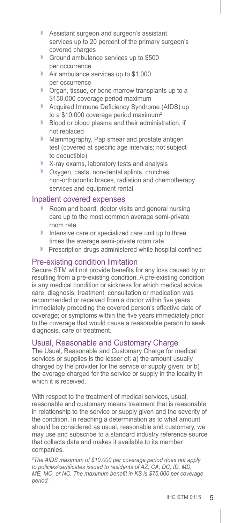- **B** Assistant surgeon and surgeon's assistant services up to 20 percent of the primary surgeon's covered charges
- Ground ambulance services up to \$500 per occurrence
- Air ambulance services up to \$1,000 per occurrence
- $\triangleright$  Organ, tissue, or bone marrow transplants up to a \$150,000 coverage period maximum
- **Acquired Immune Deficiency Syndrome (AIDS) up** to a \$10,000 coverage period maximum<sup>2</sup><br>Blood or blood plasma and their administ
- Blood or blood plasma and their administration, if not replaced
- **Mammography, Pap smear and prostate antigen** test (covered at specific age intervals; not subject to deductible)
- $\blacktriangleright$  X-ray exams, laboratory tests and analysis
- **D** Oxygen, casts, non-dental splints, crutches, non-orthodontic braces, radiation and chemotherapy services and equipment rental

# Inpatient covered expenses

- Room and board, doctor visits and general nursing care up to the most common average semi-private room rate
- $\blacksquare$  Intensive care or specialized care unit up to three times the average semi-private room rate
- Prescription drugs administered while hospital confined

# Pre-existing condition limitation

Secure STM will not provide benefits for any loss caused by or resulting from a pre-existing condition. A pre-existing condition is any medical condition or sickness for which medical advice, care, diagnosis, treatment, consultation or medication was recommended or received from a doctor within five years immediately preceding the covered person's effective date of coverage; or symptoms within the five years immediately prior to the coverage that would cause a reasonable person to seek diagnosis, care or treatment.

# Usual, Reasonable and Customary Charge

The Usual, Reasonable and Customary Charge for medical services or supplies is the lesser of: a) the amount usually charged by the provider for the service or supply given; or b) the average charged for the service or supply in the locality in which it is received.

With respect to the treatment of medical services, usual, reasonable and customary means treatment that is reasonable in relationship to the service or supply given and the severity of the condition. In reaching a determination as to what amount should be considered as usual, reasonable and customary, we may use and subscribe to a standard industry reference source that collects data and makes it available to its member companies.

*2 The AIDS maximum of \$10,000 per coverage period does not apply to policies/certificates issued to residents of AZ, CA, DC, ID, MD, ME, MO, or NC. The maximum benefit in KS is \$75,000 per coverage period.*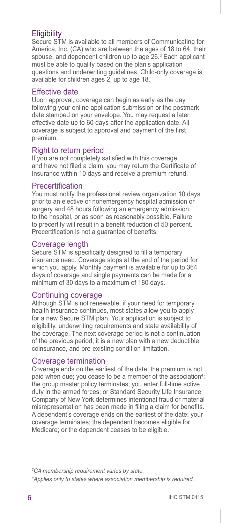# **Eligibility**

Secure STM is available to all members of Communicating for America, Inc. (CA) who are between the ages of 18 to 64, their spouse, and dependent children up to age 26.3 Each applicant must be able to qualify based on the plan's application questions and underwriting guidelines. Child-only coverage is available for children ages 2, up to age 18.

# Effective date

Upon approval, coverage can begin as early as the day following your online application submission or the postmark date stamped on your envelope. You may request a later effective date up to 60 days after the application date. All coverage is subject to approval and payment of the first premium.

# Right to return period

If you are not completely satisfied with this coverage and have not filed a claim, you may return the Certificate of Insurance within 10 days and receive a premium refund.

### Precertification

You must notify the professional review organization 10 days prior to an elective or nonemergency hospital admission or surgery and 48 hours following an emergency admission to the hospital, or as soon as reasonably possible. Failure to precertify will result in a benefit reduction of 50 percent. Precertification is not a guarantee of benefits.

# Coverage length

Secure STM is specifically designed to fill a temporary insurance need. Coverage stops at the end of the period for which you apply. Monthly payment is available for up to 364 days of coverage and single payments can be made for a minimum of 30 days to a maximum of 180 days.

# Continuing coverage

Although STM is not renewable, if your need for temporary health insurance continues, most states allow you to apply for a new Secure STM plan. Your application is subject to eligibility, underwriting requirements and state availability of the coverage. The next coverage period is not a continuation of the previous period; it is a new plan with a new deductible, coinsurance, and pre-existing condition limitation.

### Coverage termination

Coverage ends on the earliest of the date: the premium is not paid when due; you cease to be a member of the association<sup>4</sup>; the group master policy terminates; you enter full-time active duty in the armed forces; or Standard Security Life Insurance Company of New York determines intentional fraud or material misrepresentation has been made in filing a claim for benefits. A dependent's coverage ends on the earliest of the date: your coverage terminates; the dependent becomes eligible for Medicare; or the dependent ceases to be eligible.

*3 CA membership requirement varies by state.*

*<sup>4</sup> Applies only to states where association membership is required.*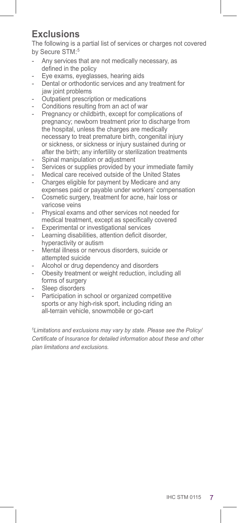# **Exclusions**

The following is a partial list of services or charges not covered by Secure STM:<sup>5</sup>

- Any services that are not medically necessary, as defined in the policy
- Eye exams, eyeglasses, hearing aids
- Dental or orthodontic services and any treatment for jaw joint problems
- Outpatient prescription or medications
- Conditions resulting from an act of war
- Pregnancy or childbirth, except for complications of pregnancy; newborn treatment prior to discharge from the hospital, unless the charges are medically necessary to treat premature birth, congenital injury or sickness, or sickness or injury sustained during or after the birth; any infertility or sterilization treatments
- Spinal manipulation or adjustment
- Services or supplies provided by your immediate family
- Medical care received outside of the United States
- Charges eligible for payment by Medicare and any expenses paid or payable under workers' compensation
- Cosmetic surgery, treatment for acne, hair loss or varicose veins
- Physical exams and other services not needed for medical treatment, except as specifically covered
- Experimental or investigational services
- Learning disabilities, attention deficit disorder, hyperactivity or autism
- Mental illness or nervous disorders, suicide or attempted suicide
- Alcohol or drug dependency and disorders
- Obesity treatment or weight reduction, including all forms of surgery
- Sleep disorders
- Participation in school or organized competitive sports or any high-risk sport, including riding an all-terrain vehicle, snowmobile or go-cart

*5 Limitations and exclusions may vary by state. Please see the Policy/ Certificate of Insurance for detailed information about these and other plan limitations and exclusions.*